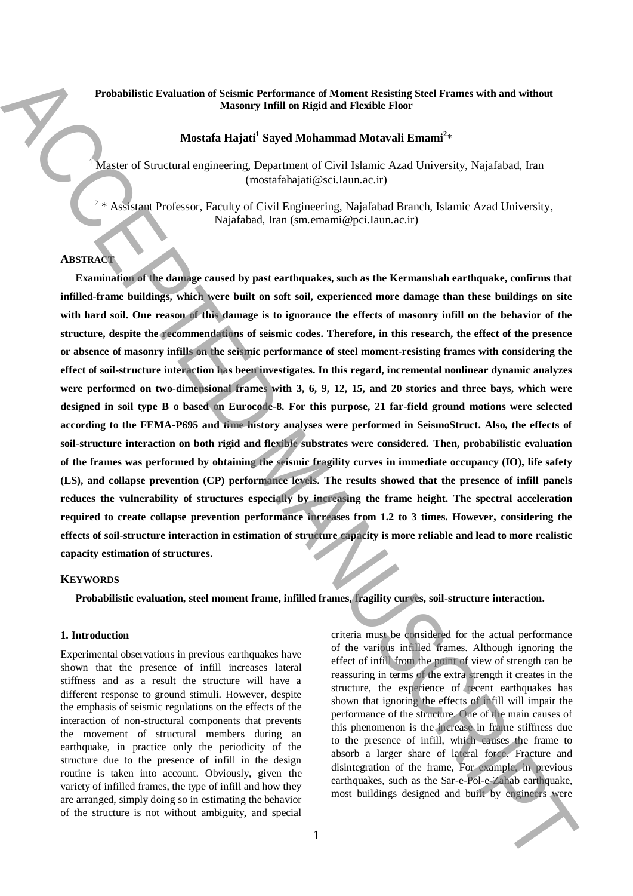## **Probabilistic Evaluation of Seismic Performance of Moment Resisting Steel Frames with and without Masonry Infill on Rigid and Flexible Floor**

# **Mostafa Hajati<sup>1</sup> Sayed Mohammad Motavali Emami<sup>2</sup>** \*

<sup>1</sup> Master of Structural engineering, Department of Civil Islamic Azad University, Najafabad, Iran (mostafahajati@sci.Iaun.ac.ir)

2 \* Assistant Professor, Faculty of Civil Engineering, Najafabad Branch, Islamic Azad University, Najafabad, Iran (sm.emami@pci.Iaun.ac.ir)

#### **ABSTRACT**

**Examination of the damage caused by past earthquakes, such as the Kermanshah earthquake, confirms that infilled-frame buildings, which were built on soft soil, experienced more damage than these buildings on site with hard soil. One reason of this damage is to ignorance the effects of masonry infill on the behavior of the structure, despite the recommendations of seismic codes. Therefore, in this research, the effect of the presence or absence of masonry infills on the seismic performance of steel moment-resisting frames with considering the effect of soil-structure interaction has been investigates. In this regard, incremental nonlinear dynamic analyzes were performed on two-dimensional frames with 3, 6, 9, 12, 15, and 20 stories and three bays, which were designed in soil type B o based on Eurocode-8. For this purpose, 21 far-field ground motions were selected according to the FEMA-P695 and time history analyses were performed in SeismoStruct. Also, the effects of soil-structure interaction on both rigid and flexible substrates were considered. Then, probabilistic evaluation of the frames was performed by obtaining the seismic fragility curves in immediate occupancy (IO), life safety (LS), and collapse prevention (CP) performance levels. The results showed that the presence of infill panels reduces the vulnerability of structures especially by increasing the frame height. The spectral acceleration required to create collapse prevention performance increases from 1.2 to 3 times. However, considering the effects of soil-structure interaction in estimation of structure capacity is more reliable and lead to more realistic capacity estimation of structures. Probabilized Evaluation of Solution Postmannos of Moment Businian Steel Frames with and without<br>
Montan Higher Stephen in Register of Civil Higher Elimination Frames in<br>
Montan Higher Stephen Schwarz (Civil Higher Elimin** 

## **KEYWORDS**

**Probabilistic evaluation, steel moment frame, infilled frames, fragility curves, soil-structure interaction.**

# **1. Introduction**

Experimental observations in previous earthquakes have shown that the presence of infill increases lateral stiffness and as a result the structure will have a different response to ground stimuli. However, despite the emphasis of seismic regulations on the effects of the interaction of non-structural components that prevents the movement of structural members during an earthquake, in practice only the periodicity of the structure due to the presence of infill in the design routine is taken into account. Obviously, given the variety of infilled frames, the type of infill and how they are arranged, simply doing so in estimating the behavior of the structure is not without ambiguity, and special criteria must be considered for the actual performance of the various infilled frames. Although ignoring the effect of infill from the point of view of strength can be reassuring in terms of the extra strength it creates in the structure, the experience of recent earthquakes has shown that ignoring the effects of infill will impair the performance of the structure. One of the main causes of this phenomenon is the increase in frame stiffness due to the presence of infill, which causes the frame to absorb a larger share of lateral force. Fracture and disintegration of the frame, For example, in previous earthquakes, such as the Sar-e-Pol-e-Zahab earthquake,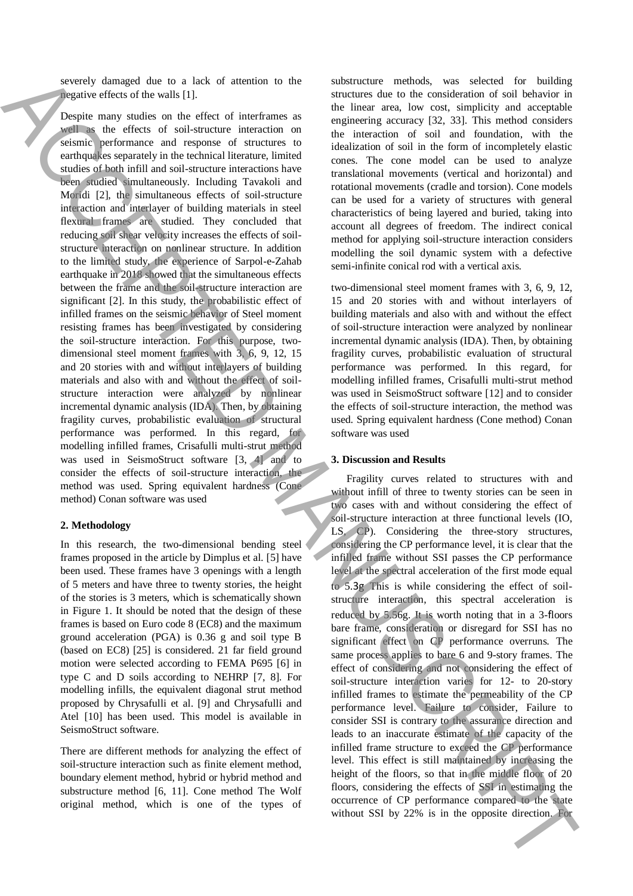severely damaged due to a lack of attention to the negative effects of the walls [1].

Despite many studies on the effect of interframes as well as the effects of soil-structure interaction on seismic performance and response of structures to earthquakes separately in the technical literature, limited studies of both infill and soil-structure interactions have been studied simultaneously. Including Tavakoli and Moridi [2], the simultaneous effects of soil-structure interaction and interlayer of building materials in steel flexural frames are studied. They concluded that reducing soil shear velocity increases the effects of soilstructure interaction on nonlinear structure. In addition to the limited study, the experience of Sarpol-e-Zahab earthquake in 2018 showed that the simultaneous effects between the frame and the soil-structure interaction are significant [2]. In this study, the probabilistic effect of infilled frames on the seismic behavior of Steel moment resisting frames has been investigated by considering the soil-structure interaction. For this purpose, twodimensional steel moment frames with 3, 6, 9, 12, 15 and 20 stories with and without interlayers of building materials and also with and without the effect of soilstructure interaction were analyzed by nonlinear incremental dynamic analysis (IDA). Then, by obtaining fragility curves, probabilistic evaluation of structural performance was performed. In this regard, for modelling infilled frames, Crisafulli multi-strut method was used in SeismoStruct software [3, 4] and to consider the effects of soil-structure interaction, the method was used. Spring equivalent hardness (Cone method) Conan software was used courty counter of the the set of the set of the set of the set of the set of the set of the set of the set of the set of the set of the set of the set of the set of the set of the set of the set of the set of the set of t

#### **2. Methodology**

In this research, the two-dimensional bending steel frames proposed in the article by Dimplus et al. [5] have been used. These frames have 3 openings with a length of 5 meters and have three to twenty stories, the height of the stories is 3 meters, which is schematically shown in Figure 1. It should be noted that the design of these frames is based on Euro code 8 (EC8) and the maximum ground acceleration (PGA) is 0.36 g and soil type B (based on EC8) [25] is considered. 21 far field ground motion were selected according to FEMA P695 [6] in type C and D soils according to NEHRP [7, 8]. For modelling infills, the equivalent diagonal strut method proposed by Chrysafulli et al. [9] and Chrysafulli and Atel [10] has been used. This model is available in SeismoStruct software.

There are different methods for analyzing the effect of soil-structure interaction such as finite element method, boundary element method, hybrid or hybrid method and substructure method [6, 11]. Cone method The Wolf original method, which is one of the types of substructure methods, was selected for building structures due to the consideration of soil behavior in the linear area, low cost, simplicity and acceptable engineering accuracy [32, 33]. This method considers the interaction of soil and foundation, with the idealization of soil in the form of incompletely elastic cones. The cone model can be used to analyze translational movements (vertical and horizontal) and rotational movements (cradle and torsion). Cone models can be used for a variety of structures with general characteristics of being layered and buried, taking into account all degrees of freedom. The indirect conical method for applying soil-structure interaction considers modelling the soil dynamic system with a defective semi-infinite conical rod with a vertical axis.

two-dimensional steel moment frames with 3, 6, 9, 12, 15 and 20 stories with and without interlayers of building materials and also with and without the effect of soil-structure interaction were analyzed by nonlinear incremental dynamic analysis (IDA). Then, by obtaining fragility curves, probabilistic evaluation of structural performance was performed. In this regard, for modelling infilled frames, Crisafulli multi-strut method was used in SeismoStruct software [12] and to consider the effects of soil-structure interaction, the method was used. Spring equivalent hardness (Cone method) Conan software was used

#### **3. Discussion and Results**

Fragility curves related to structures with and without infill of three to twenty stories can be seen in two cases with and without considering the effect of soil-structure interaction at three functional levels (IO, LS, CP). Considering the three-story structures, considering the CP performance level, it is clear that the infilled frame without SSI passes the CP performance level at the spectral acceleration of the first mode equal to 5.3g This is while considering the effect of soilstructure interaction, this spectral acceleration is reduced by 5.56g. It is worth noting that in a 3-floors bare frame, consideration or disregard for SSI has no significant effect on CP performance overruns. The same process applies to bare 6 and 9-story frames. The effect of considering and not considering the effect of soil-structure interaction varies for 12- to 20-story infilled frames to estimate the permeability of the CP performance level. Failure to consider, Failure to consider SSI is contrary to the assurance direction and leads to an inaccurate estimate of the capacity of the infilled frame structure to exceed the CP performance level. This effect is still maintained by increasing the height of the floors, so that in the middle floor of 20 floors, considering the effects of SSI in estimating the occurrence of CP performance compared to the state